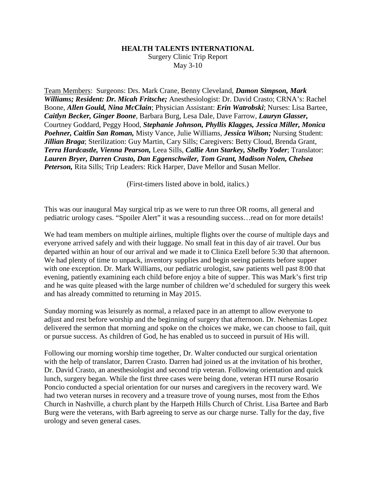## **HEALTH TALENTS INTERNATIONAL**

Surgery Clinic Trip Report May 3-10

Team Members: Surgeons: Drs. Mark Crane, Benny Cleveland, *Damon Simpson, Mark Williams; Resident: Dr. Micah Fritsche;* Anesthesiologist: Dr. David Crasto; CRNA's: Rachel Boone, *Allen Gould, Nina McClain*; Physician Assistant: *Erin Watrobski*; Nurses: Lisa Bartee, *Caitlyn Becker, Ginger Boone*, Barbara Burg, Lesa Dale, Dave Farrow, *Lauryn Glasser,* Courtney Goddard, Peggy Hood, *Stephanie Johnson, Phyllis Klagges, Jessica Miller, Monica Poehner, Caitlin San Roman,* Misty Vance, Julie Williams, *Jessica Wilson;* Nursing Student: *Jillian Braga*; Sterilization: Guy Martin, Cary Sills; Caregivers: Betty Cloud, Brenda Grant, *Terra Hardcastle, Vienna Pearson,* Leea Sills, *Callie Ann Starkey, Shelby Yoder*; Translator: *Lauren Bryer, Darren Crasto, Dan Eggenschwiler, Tom Grant, Madison Nolen, Chelsea Peterson,* Rita Sills; Trip Leaders: Rick Harper, Dave Mellor and Susan Mellor.

(First-timers listed above in bold, italics.)

This was our inaugural May surgical trip as we were to run three OR rooms, all general and pediatric urology cases. "Spoiler Alert" it was a resounding success…read on for more details!

We had team members on multiple airlines, multiple flights over the course of multiple days and everyone arrived safely and with their luggage. No small feat in this day of air travel. Our bus departed within an hour of our arrival and we made it to Clinica Ezell before 5:30 that afternoon. We had plenty of time to unpack, inventory supplies and begin seeing patients before supper with one exception. Dr. Mark Williams, our pediatric urologist, saw patients well past 8:00 that evening, patiently examining each child before enjoy a bite of supper. This was Mark's first trip and he was quite pleased with the large number of children we'd scheduled for surgery this week and has already committed to returning in May 2015.

Sunday morning was leisurely as normal, a relaxed pace in an attempt to allow everyone to adjust and rest before worship and the beginning of surgery that afternoon. Dr. Nehemias Lopez delivered the sermon that morning and spoke on the choices we make, we can choose to fail, quit or pursue success. As children of God, he has enabled us to succeed in pursuit of His will.

Following our morning worship time together, Dr. Walter conducted our surgical orientation with the help of translator, Darren Crasto. Darren had joined us at the invitation of his brother, Dr. David Crasto, an anesthesiologist and second trip veteran. Following orientation and quick lunch, surgery began. While the first three cases were being done, veteran HTI nurse Rosario Poncio conducted a special orientation for our nurses and caregivers in the recovery ward. We had two veteran nurses in recovery and a treasure trove of young nurses, most from the Ethos Church in Nashville, a church plant by the Harpeth Hills Church of Christ. Lisa Bartee and Barb Burg were the veterans, with Barb agreeing to serve as our charge nurse. Tally for the day, five urology and seven general cases.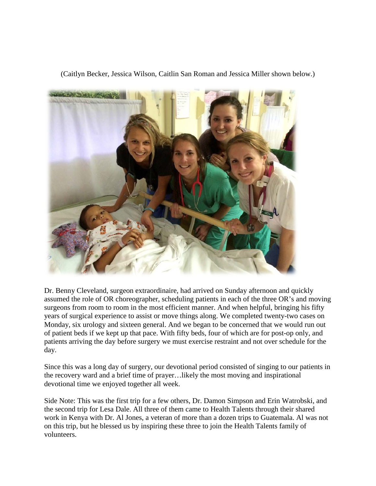(Caitlyn Becker, Jessica Wilson, Caitlin San Roman and Jessica Miller shown below.)



Dr. Benny Cleveland, surgeon extraordinaire, had arrived on Sunday afternoon and quickly assumed the role of OR choreographer, scheduling patients in each of the three OR's and moving surgeons from room to room in the most efficient manner. And when helpful, bringing his fifty years of surgical experience to assist or move things along. We completed twenty-two cases on Monday, six urology and sixteen general. And we began to be concerned that we would run out of patient beds if we kept up that pace. With fifty beds, four of which are for post-op only, and patients arriving the day before surgery we must exercise restraint and not over schedule for the day.

Since this was a long day of surgery, our devotional period consisted of singing to our patients in the recovery ward and a brief time of prayer…likely the most moving and inspirational devotional time we enjoyed together all week.

Side Note: This was the first trip for a few others, Dr. Damon Simpson and Erin Watrobski, and the second trip for Lesa Dale. All three of them came to Health Talents through their shared work in Kenya with Dr. Al Jones, a veteran of more than a dozen trips to Guatemala. Al was not on this trip, but he blessed us by inspiring these three to join the Health Talents family of volunteers.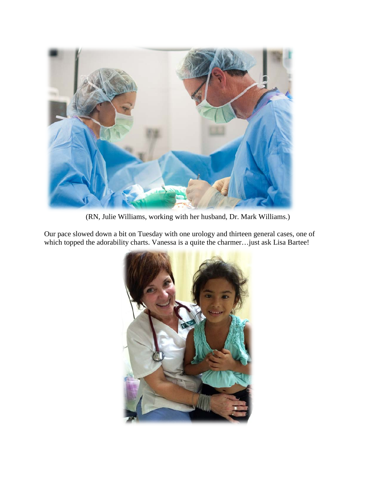

(RN, Julie Williams, working with her husband, Dr. Mark Williams.)

Our pace slowed down a bit on Tuesday with one urology and thirteen general cases, one of which topped the adorability charts. Vanessa is a quite the charmer... just ask Lisa Bartee!